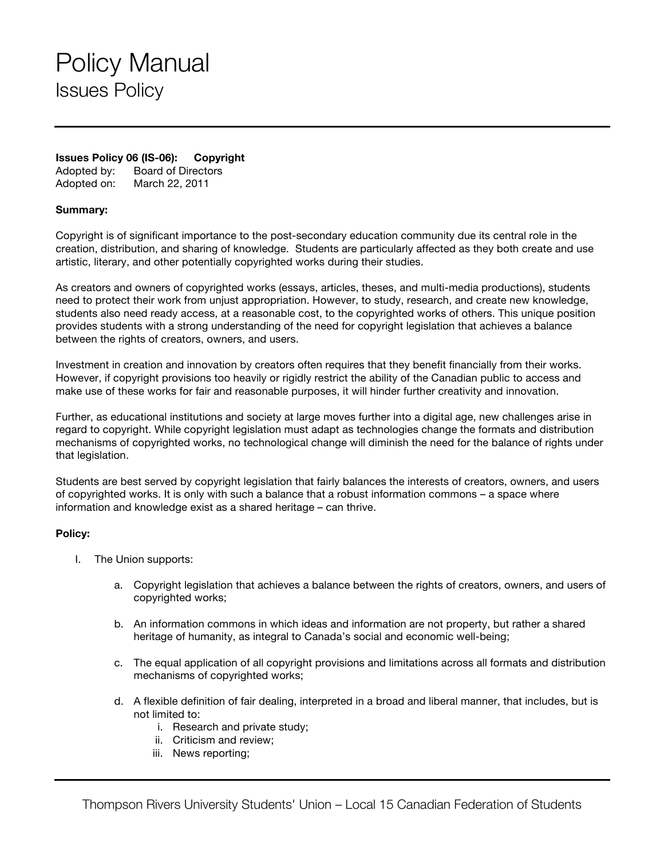## Policy Manual Issues Policy

### **Issues Policy 06 (IS-06): Copyright**

Adopted by: Board of Directors Adopted on: March 22, 2011

#### **Summary:**

Copyright is of significant importance to the post-secondary education community due its central role in the creation, distribution, and sharing of knowledge. Students are particularly affected as they both create and use artistic, literary, and other potentially copyrighted works during their studies.

As creators and owners of copyrighted works (essays, articles, theses, and multi-media productions), students need to protect their work from unjust appropriation. However, to study, research, and create new knowledge, students also need ready access, at a reasonable cost, to the copyrighted works of others. This unique position provides students with a strong understanding of the need for copyright legislation that achieves a balance between the rights of creators, owners, and users.

Investment in creation and innovation by creators often requires that they benefit financially from their works. However, if copyright provisions too heavily or rigidly restrict the ability of the Canadian public to access and make use of these works for fair and reasonable purposes, it will hinder further creativity and innovation.

Further, as educational institutions and society at large moves further into a digital age, new challenges arise in regard to copyright. While copyright legislation must adapt as technologies change the formats and distribution mechanisms of copyrighted works, no technological change will diminish the need for the balance of rights under that legislation.

Students are best served by copyright legislation that fairly balances the interests of creators, owners, and users of copyrighted works. It is only with such a balance that a robust information commons – a space where information and knowledge exist as a shared heritage – can thrive.

### **Policy:**

- I. The Union supports:
	- a. Copyright legislation that achieves a balance between the rights of creators, owners, and users of copyrighted works;
	- b. An information commons in which ideas and information are not property, but rather a shared heritage of humanity, as integral to Canada's social and economic well-being;
	- c. The equal application of all copyright provisions and limitations across all formats and distribution mechanisms of copyrighted works;
	- d. A flexible definition of fair dealing, interpreted in a broad and liberal manner, that includes, but is not limited to:
		- i. Research and private study;
		- ii. Criticism and review;
		- iii. News reporting;